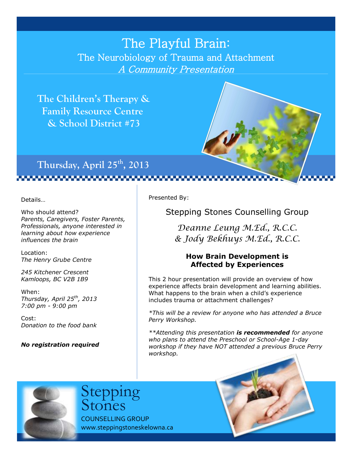# The Playful Brain: The Neurobiology of Trauma and Attachment A Community Presentation

 **The Children's Therapy & Family Resource Centre & School District #73**



**Thursday, April 25th, 2013**

,,,,,,,,,,,,,,,,,,,,,,,,,,

Details…

Who should attend? *Parents, Caregivers, Foster Parents, Professionals, anyone interested in learning about how experience influences the brain*

Location: *The Henry Grube Centre*

*245 Kitchener Crescent Kamloops, BC V2B 1B9*

When: *Thursday, April 25th, 2013 7:00 pm - 9:00 pm*

Cost: *Donation to the food bank*

*No registration required*

Presented By:

Stepping Stones Counselling Group

*Deanne Leung M.Ed., R.C.C. & Jody Bekhuys M.Ed., R.C.C.*

#### **How Brain Development is Affected by Experiences**

This 2 hour presentation will provide an overview of how experience affects brain development and learning abilities. What happens to the brain when a child's experience includes trauma or attachment challenges?

*\*This will be a review for anyone who has attended a Bruce Perry Workshop.*

*\*\*Attending this presentation is recommended for anyone who plans to attend the Preschool or School-Age 1-day workshop if they have NOT attended a previous Bruce Perry workshop.*



COUNSELLING GROUP www.steppingstoneskelowna.ca Stepping Stones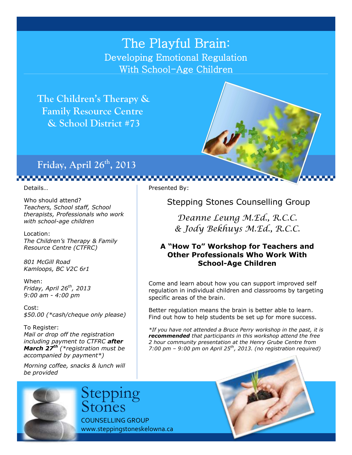## The Playful Brain: Developing Emotional Regulation With School-Age Children

 **The Children's Therapy & Family Resource Centre & School District #73**



,,,,,,,,,,,,,,,,,,,,,,,,,,,,,,,,

Details…

Who should attend? *Teachers, School staff, School therapists, Professionals who work with school-age children*

Location: *The Children's Therapy & Family Resource Centre (CTFRC)*

*801 McGill Road Kamloops, BC V2C 6r1*

When: *Friday, April 26 th, 2013 9:00 am - 4:00 pm*

Cost: *\$50.00 (\*cash/cheque only please)*

To Register: *Mail or drop off the registration including payment to CTFRC after March 27th (\*registration must be accompanied by payment\*)*

*Morning coffee, snacks & lunch will be provided*

Presented By:

Stepping Stones Counselling Group

*Deanne Leung M.Ed., R.C.C. & Jody Bekhuys M.Ed., R.C.C.*

#### **A "How To" Workshop for Teachers and Other Professionals Who Work With School-Age Children**

Come and learn about how you can support improved self regulation in individual children and classrooms by targeting specific areas of the brain.

Better regulation means the brain is better able to learn. Find out how to help students be set up for more success.

*\*If you have not attended a Bruce Perry workshop in the past, it is recommended that participants in this workshop attend the free 2 hour community presentation at the Henry Grube Centre from 7:00 pm – 9:00 pm on April 25th, 2013. (no registration required)*



Stepping Stones

COUNSELLING GROUP www.steppingstoneskelowna.ca